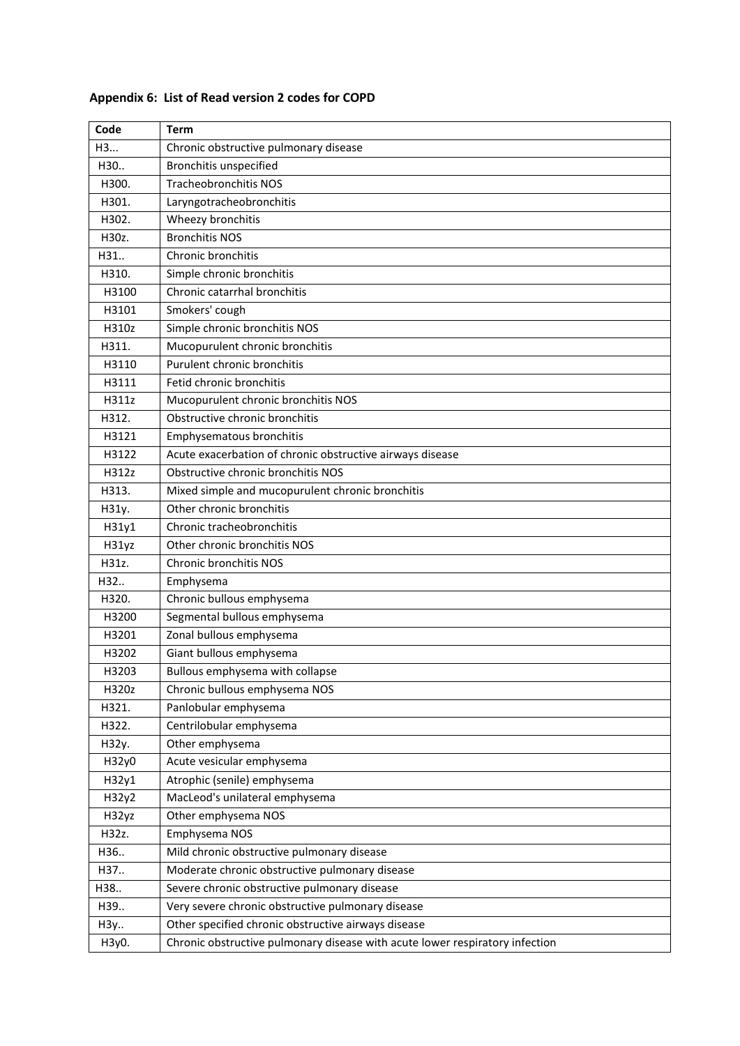| Code  | Term                                                                         |
|-------|------------------------------------------------------------------------------|
| H3    | Chronic obstructive pulmonary disease                                        |
| H30   | <b>Bronchitis unspecified</b>                                                |
| H300. | <b>Tracheobronchitis NOS</b>                                                 |
| H301. | Laryngotracheobronchitis                                                     |
| H302. | Wheezy bronchitis                                                            |
| H30z. | <b>Bronchitis NOS</b>                                                        |
| H31   | Chronic bronchitis                                                           |
| H310. | Simple chronic bronchitis                                                    |
| H3100 | Chronic catarrhal bronchitis                                                 |
| H3101 | Smokers' cough                                                               |
| H310z | Simple chronic bronchitis NOS                                                |
| H311. | Mucopurulent chronic bronchitis                                              |
| H3110 | Purulent chronic bronchitis                                                  |
| H3111 | Fetid chronic bronchitis                                                     |
| H311z | Mucopurulent chronic bronchitis NOS                                          |
| H312. | Obstructive chronic bronchitis                                               |
| H3121 | Emphysematous bronchitis                                                     |
| H3122 | Acute exacerbation of chronic obstructive airways disease                    |
| H312z | Obstructive chronic bronchitis NOS                                           |
| H313. | Mixed simple and mucopurulent chronic bronchitis                             |
| H31y. | Other chronic bronchitis                                                     |
| H31y1 | Chronic tracheobronchitis                                                    |
| H31yz | Other chronic bronchitis NOS                                                 |
| H31z. | <b>Chronic bronchitis NOS</b>                                                |
| H32   | Emphysema                                                                    |
| H320. | Chronic bullous emphysema                                                    |
| H3200 | Segmental bullous emphysema                                                  |
| H3201 | Zonal bullous emphysema                                                      |
| H3202 | Giant bullous emphysema                                                      |
| H3203 | Bullous emphysema with collapse                                              |
| H320z | Chronic bullous emphysema NOS                                                |
| H321. | Panlobular emphysema                                                         |
| H322. | Centrilobular emphysema                                                      |
| H32y. | Other emphysema                                                              |
| H32y0 | Acute vesicular emphysema                                                    |
| H32y1 | Atrophic (senile) emphysema                                                  |
| H32y2 | MacLeod's unilateral emphysema                                               |
| H32yz | Other emphysema NOS                                                          |
| H32z. | Emphysema NOS                                                                |
| H36   | Mild chronic obstructive pulmonary disease                                   |
| H37   | Moderate chronic obstructive pulmonary disease                               |
| H38   | Severe chronic obstructive pulmonary disease                                 |
| H39   | Very severe chronic obstructive pulmonary disease                            |
| H3y   | Other specified chronic obstructive airways disease                          |
| H3y0. | Chronic obstructive pulmonary disease with acute lower respiratory infection |

## **Appendix 6: List of Read version 2 codes for COPD**